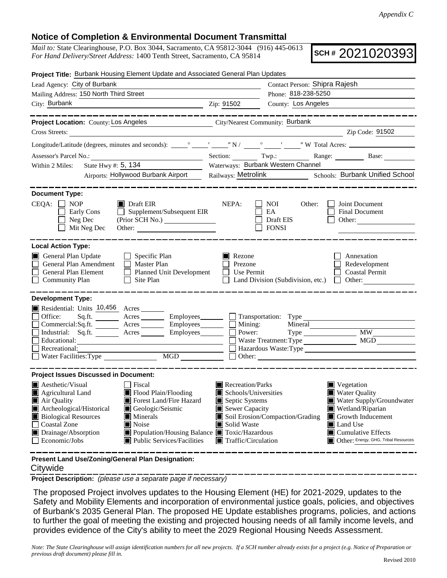## **Notice of Completion & Environmental Document Transmittal**

*Mail to:* State Clearinghouse, P.O. Box 3044, Sacramento, CA 95812-3044 (916) 445-0613 *For Hand Delivery/Street Address:* 1400 Tenth Street, Sacramento, CA 95814

**SCH #** 2021020393

| Project Title: Burbank Housing Element Update and Associated General Plan Updates                                                                                                                           |                                                                                                                                                                                                    |                                                                                                                                                                                     |                                                          |                                            |                                                                                                                                                                                                  |  |
|-------------------------------------------------------------------------------------------------------------------------------------------------------------------------------------------------------------|----------------------------------------------------------------------------------------------------------------------------------------------------------------------------------------------------|-------------------------------------------------------------------------------------------------------------------------------------------------------------------------------------|----------------------------------------------------------|--------------------------------------------|--------------------------------------------------------------------------------------------------------------------------------------------------------------------------------------------------|--|
| Lead Agency: City of Burbank                                                                                                                                                                                |                                                                                                                                                                                                    |                                                                                                                                                                                     | Contact Person: Shipra Rajesh                            |                                            |                                                                                                                                                                                                  |  |
| Mailing Address: 150 North Third Street                                                                                                                                                                     |                                                                                                                                                                                                    |                                                                                                                                                                                     | Phone: 818-238-5250                                      |                                            |                                                                                                                                                                                                  |  |
| City: Burbank                                                                                                                                                                                               | <u>2ip: 91502</u>                                                                                                                                                                                  | County: Los Angeles                                                                                                                                                                 |                                                          |                                            |                                                                                                                                                                                                  |  |
|                                                                                                                                                                                                             | ____________                                                                                                                                                                                       |                                                                                                                                                                                     |                                                          |                                            | _________________                                                                                                                                                                                |  |
| Project Location: County: Los Angeles                                                                                                                                                                       | City/Nearest Community: Burbank                                                                                                                                                                    |                                                                                                                                                                                     |                                                          |                                            |                                                                                                                                                                                                  |  |
| Cross Streets:                                                                                                                                                                                              | <u> 1989 - Andrea Andrew Maria (b. 1989)</u>                                                                                                                                                       |                                                                                                                                                                                     |                                                          |                                            | Zip Code: 91502                                                                                                                                                                                  |  |
|                                                                                                                                                                                                             |                                                                                                                                                                                                    |                                                                                                                                                                                     |                                                          |                                            |                                                                                                                                                                                                  |  |
|                                                                                                                                                                                                             |                                                                                                                                                                                                    |                                                                                                                                                                                     |                                                          |                                            | Section: Twp.: Range: Base:                                                                                                                                                                      |  |
| State Hwy #: 5, 134<br>Within 2 Miles:                                                                                                                                                                      |                                                                                                                                                                                                    | Waterways: Burbank Western Channel                                                                                                                                                  |                                                          |                                            |                                                                                                                                                                                                  |  |
|                                                                                                                                                                                                             | Airports: Hollywood Burbank Airport                                                                                                                                                                |                                                                                                                                                                                     |                                                          |                                            | Railways: Metrolink Schools: Burbank Unified School                                                                                                                                              |  |
| <b>Document Type:</b>                                                                                                                                                                                       |                                                                                                                                                                                                    |                                                                                                                                                                                     |                                                          |                                            |                                                                                                                                                                                                  |  |
| $CEQA: \Box NOP$<br>Early Cons<br>Neg Dec<br>Mit Neg Dec                                                                                                                                                    | $\blacksquare$ Draft EIR<br>$\Box$ Supplement/Subsequent EIR<br>Other:                                                                                                                             | NEPA:                                                                                                                                                                               | NOI<br>EA<br>Draft EIS<br>$\blacksquare$<br><b>FONSI</b> | Other:                                     | Joint Document<br>Final Document<br>Other:                                                                                                                                                       |  |
| <b>Local Action Type:</b>                                                                                                                                                                                   |                                                                                                                                                                                                    |                                                                                                                                                                                     |                                                          |                                            |                                                                                                                                                                                                  |  |
| General Plan Update<br>General Plan Amendment   Master Plan<br>General Plan Element <u>I</u> Planned Unit Development<br><b>Community Plan</b>                                                              | $\Box$ Specific Plan<br>$\Box$ Site Plan                                                                                                                                                           | Rezone<br>Prezone<br>$\Box$ Use Permit                                                                                                                                              |                                                          |                                            | Annexation<br>Redevelopment<br><b>Coastal Permit</b><br>Land Division (Subdivision, etc.) $\Box$ Other:                                                                                          |  |
| <b>Development Type:</b>                                                                                                                                                                                    |                                                                                                                                                                                                    |                                                                                                                                                                                     |                                                          |                                            |                                                                                                                                                                                                  |  |
| Residential: Units 10,456 Acres<br>Office:<br>Commercial:Sq.ft. _________ Acres __________ Employees________<br>Industrial: Sq.ft. _______ Acres ________ Employees_______<br>Educational:<br>Recreational: | Sq.ft. ________ Acres _________ Employees _______ __ Transportation: Type _________________________                                                                                                | Mining:<br>Power:                                                                                                                                                                   |                                                          | Mineral<br>Waste Treatment: Type<br>Other: | Type MW<br>MGD<br>Hazardous Waste:Type                                                                                                                                                           |  |
| <b>Project Issues Discussed in Document:</b>                                                                                                                                                                |                                                                                                                                                                                                    |                                                                                                                                                                                     |                                                          |                                            |                                                                                                                                                                                                  |  |
| $\blacksquare$ Aesthetic/Visual<br>Agricultural Land<br>Air Quality<br>Archeological/Historical<br><b>Biological Resources</b><br><b>Coastal Zone</b><br>Drainage/Absorption<br>$\Box$ Economic/Jobs        | $\Box$ Fiscal<br>Flood Plain/Flooding<br>Forest Land/Fire Hazard<br>Geologic/Seismic<br>Minerals<br><b>■</b> Noise<br>■ Population/Housing Balance ■ Toxic/Hazardous<br>Public Services/Facilities | Recreation/Parks<br>$\blacksquare$ Schools/Universities<br>Septic Systems<br>Sewer Capacity<br>Soil Erosion/Compaction/Grading<br>Solid Waste<br>$\blacksquare$ Traffic/Circulation |                                                          |                                            | Vegetation<br><b>Water Quality</b><br>Water Supply/Groundwater<br>Wetland/Riparian<br>Growth Inducement<br>Land Use<br>$\blacksquare$ Cumulative Effects<br>Other: Energy, GHG, Tribal Resources |  |
| Present Land Use/Zoning/General Plan Designation:                                                                                                                                                           |                                                                                                                                                                                                    |                                                                                                                                                                                     |                                                          |                                            |                                                                                                                                                                                                  |  |

## **Citywide**

**Project Description:** *(please use a separate page if necessary)*

 The proposed Project involves updates to the Housing Element (HE) for 2021-2029, updates to the Safety and Mobility Elements and incorporation of environmental justice goals, policies, and objectives of Burbank's 2035 General Plan. The proposed HE Update establishes programs, policies, and actions to further the goal of meeting the existing and projected housing needs of all family income levels, and provides evidence of the City's ability to meet the 2029 Regional Housing Needs Assessment.

*Note: The State Clearinghouse will assign identification numbers for all new projects. If a SCH number already exists for a project (e.g. Notice of Preparation or previous draft document) please fill in.*